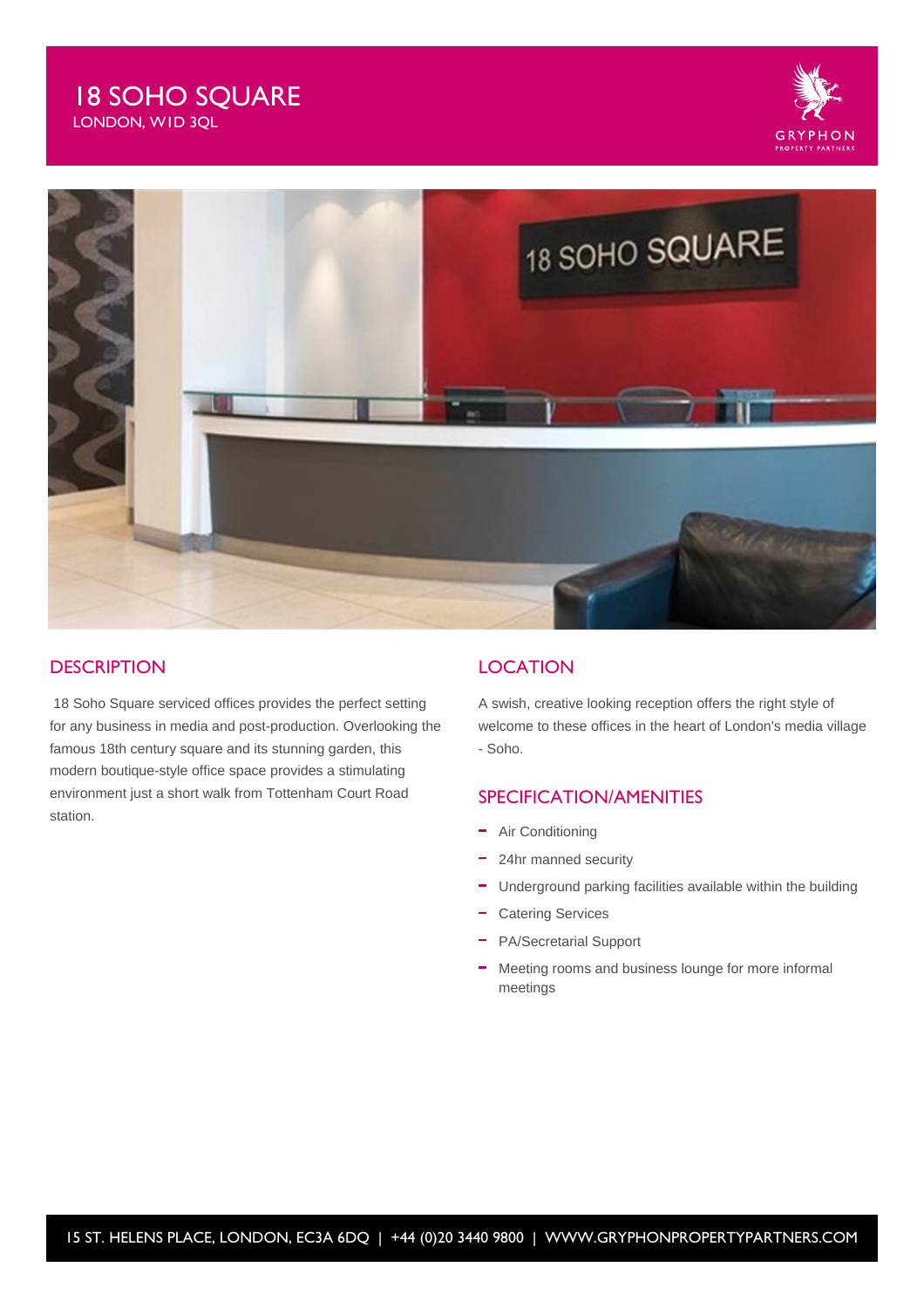# 18 SOHO SQUARE

LONDON, W1D 3QL





#### **DESCRIPTION**

 18 Soho Square serviced offices provides the perfect setting for any business in media and post-production. Overlooking the famous 18th century square and its stunning garden, this modern boutique-style office space provides a stimulating environment just a short walk from Tottenham Court Road station.

### **LOCATION**

A swish, creative looking reception offers the right style of welcome to these offices in the heart of London's media village - Soho.

#### SPECIFICATION/AMENITIES

- Air Conditioning
- 24hr manned security
- Underground parking facilities available within the building
- Catering Services
- PA/Secretarial Support
- Meeting rooms and business lounge for more informal meetings